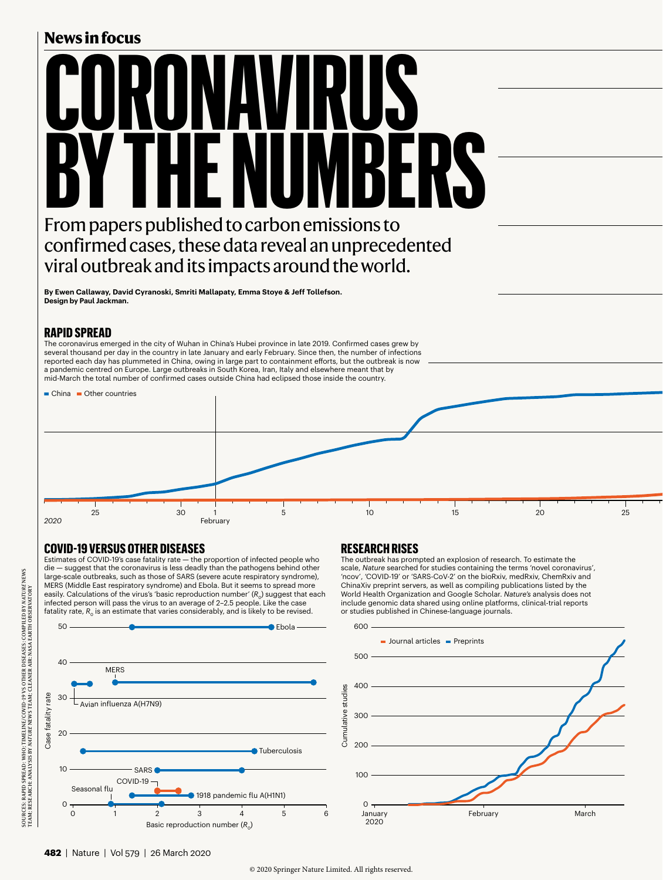## **News in focus**

# **CORONAVIRUS BY THE NUMBERS** From papers published to carbon emissions to confirmed cases, these data reveal an unprecedented

**By Ewen Callaway, David Cyranoski, Smriti Mallapaty, Emma Stoye & Jeff Tollefson. Design by Paul Jackman.**

#### **RAPID SPREAD**

The coronavirus emerged in the city of Wuhan in China's Hubei province in late 2019. Confirmed cases grew by several thousand per day in the country in late January and early February. Since then, the number of infections reported each day has plummeted in China, owing in large part to containment efforts, but the outbreak is now a pandemic centred on Europe. Large outbreaks in South Korea, Iran, Italy and elsewhere meant that by mid-March the total number of confirmed cases outside China had eclipsed those inside the country.

viral outbreak and its impacts around the world.



### **COVID-19 VERSUS OTHER DISEASES**

Estimates of COVID-19's case fatality rate — the proportion of infected people who die — suggest that the coronavirus is less deadly than the pathogens behind other large-scale outbreaks, such as those of SARS (severe acute respiratory syndrome), MERS (Middle East respiratory syndrome) and Ebola. But it seems to spread more easily. Calculations of the virus's 'basic reproduction number' ( $R_0$ ) suggest that each infected person will pass the virus to an average of 2–2.5 people. Like the case fatality rate,  $R_0$  is an estimate that varies considerably, and is likely to be revised.



#### **RESEARCH RISES**

The outbreak has prompted an explosion of research. To estimate the scale, *Nature* searched for studies containing the terms 'novel coronavirus', 'ncov', 'COVID-19' or 'SARS-CoV-2' on the bioRxiv, medRxiv, ChemRxiv and ChinaXiv preprint servers, as well as compiling publications listed by the World Health Organization and Google Scholar. *Nature's* analysis does not include genomic data shared using online platforms, clinical-trial reports or studies published in Chinese-language journals.